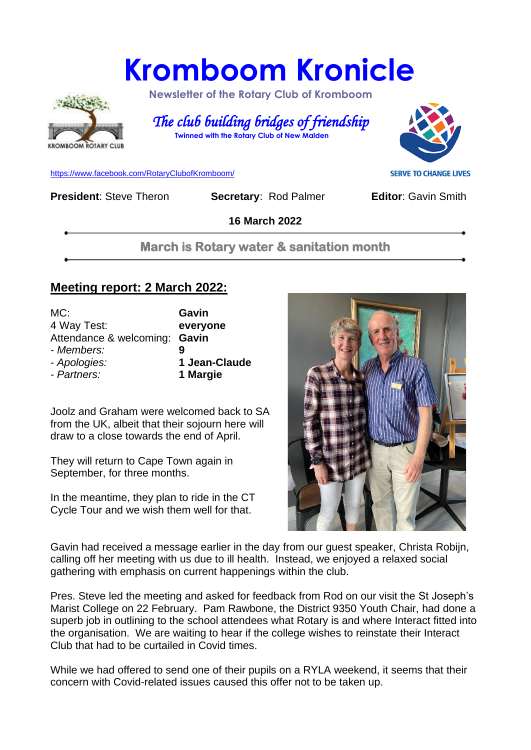# **Kromboom Kronicle**



 **Newsletter of the Rotary Club of Kromboom** 

 *The club building bridges of friendship*   **Twinned with the Rotary Club of New Malden**

[https://www.facebook.com/RotaryClubofKromboom/](https://emea01.safelinks.protection.outlook.com/?url=https%3A%2F%2Fwww.facebook.com%2FRotaryClubofKromboom%2F&data=04%7C01%7C%7Cd5cbab1d20df4229753808d958aed8b7%7C84df9e7fe9f640afb435aaaaaaaaaaaa%7C1%7C0%7C637638330257198543%7CUnknown%7CTWFpbGZsb3d8eyJWIjoiMC4wLjAwMDAiLCJQIjoiV2luMzIiLCJBTiI6Ik1haWwiLCJXVCI6Mn0%3D%7C1000&sdata=mDIKThBFOsjFFCPfaDaIk4CAPMCijMbG5OU6PW4Loes%3D&reserved=0)

**President:** Steve Theron **Secretary: Rod Palmer <b>Editor:** Gavin Smith

**SERVE TO CHANGE LIVES** 

**16 March 2022**

**March is Rotary water & sanitation month** 

# **Meeting report: 2 March 2022:**

| MC:                           | Gavin         |
|-------------------------------|---------------|
| 4 Way Test:                   | everyone      |
| Attendance & welcoming: Gavin |               |
| - Members:                    |               |
| - Apologies:                  | 1 Jean-Claude |
| - Partners:                   | 1 Margie      |

Joolz and Graham were welcomed back to SA from the UK, albeit that their sojourn here will draw to a close towards the end of April.

They will return to Cape Town again in September, for three months.

In the meantime, they plan to ride in the CT Cycle Tour and we wish them well for that.



Gavin had received a message earlier in the day from our guest speaker, Christa Robijn, calling off her meeting with us due to ill health. Instead, we enjoyed a relaxed social gathering with emphasis on current happenings within the club.

Pres. Steve led the meeting and asked for feedback from Rod on our visit the St Joseph's Marist College on 22 February. Pam Rawbone, the District 9350 Youth Chair, had done a superb job in outlining to the school attendees what Rotary is and where Interact fitted into the organisation. We are waiting to hear if the college wishes to reinstate their Interact Club that had to be curtailed in Covid times.

While we had offered to send one of their pupils on a RYLA weekend, it seems that their concern with Covid-related issues caused this offer not to be taken up.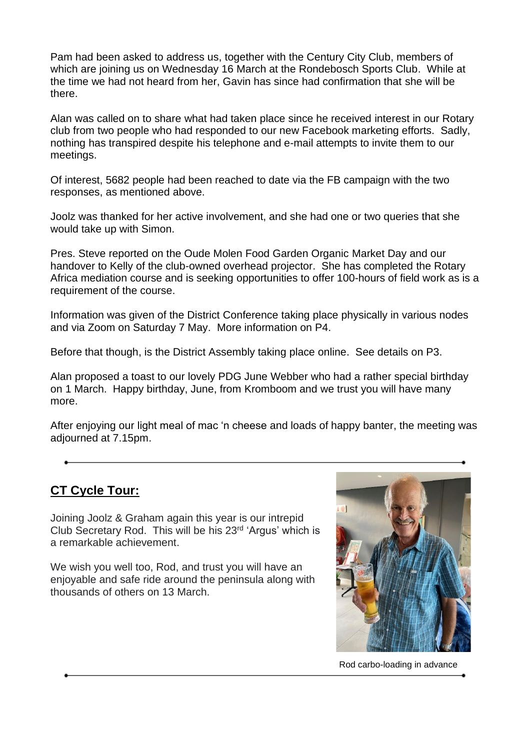Pam had been asked to address us, together with the Century City Club, members of which are joining us on Wednesday 16 March at the Rondebosch Sports Club. While at the time we had not heard from her, Gavin has since had confirmation that she will be there.

Alan was called on to share what had taken place since he received interest in our Rotary club from two people who had responded to our new Facebook marketing efforts. Sadly, nothing has transpired despite his telephone and e-mail attempts to invite them to our meetings.

Of interest, 5682 people had been reached to date via the FB campaign with the two responses, as mentioned above.

Joolz was thanked for her active involvement, and she had one or two queries that she would take up with Simon.

Pres. Steve reported on the Oude Molen Food Garden Organic Market Day and our handover to Kelly of the club-owned overhead projector. She has completed the Rotary Africa mediation course and is seeking opportunities to offer 100-hours of field work as is a requirement of the course.

Information was given of the District Conference taking place physically in various nodes and via Zoom on Saturday 7 May. More information on P4.

Before that though, is the District Assembly taking place online. See details on P3.

Alan proposed a toast to our lovely PDG June Webber who had a rather special birthday on 1 March. Happy birthday, June, from Kromboom and we trust you will have many more.

After enjoying our light meal of mac 'n cheese and loads of happy banter, the meeting was adjourned at 7.15pm.

# **CT Cycle Tour:**

Joining Joolz & Graham again this year is our intrepid Club Secretary Rod. This will be his 23rd 'Argus' which is a remarkable achievement.

We wish you well too, Rod, and trust you will have an enjoyable and safe ride around the peninsula along with thousands of others on 13 March.



Rod carbo-loading in advance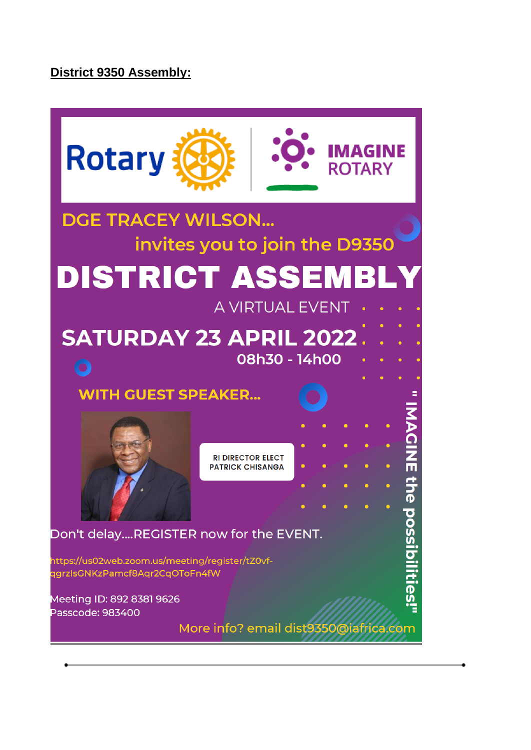# **District 9350 Assembly:**

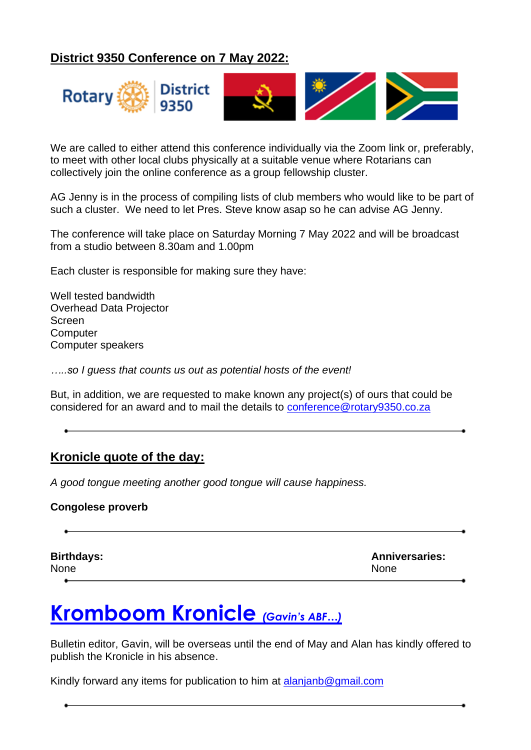# **District 9350 Conference on 7 May 2022:**



We are called to either attend this conference individually via the Zoom link or, preferably, to meet with other local clubs physically at a suitable venue where Rotarians can collectively join the online conference as a group fellowship cluster.

AG Jenny is in the process of compiling lists of club members who would like to be part of such a cluster. We need to let Pres. Steve know asap so he can advise AG Jenny.

The conference will take place on Saturday Morning 7 May 2022 and will be broadcast from a studio between 8.30am and 1.00pm

Each cluster is responsible for making sure they have:

Well tested bandwidth Overhead Data Projector Screen **Computer** Computer speakers

*…..so I guess that counts us out as potential hosts of the event!*

But, in addition, we are requested to make known any project(s) of ours that could be considered for an award and to mail the details to [conference@rotary9350.co.za](mailto:conference@rotary9350.co.za)

# **Kronicle quote of the day:**

*A good tongue meeting another good tongue will cause happiness.*

#### **Congolese proverb**

| <b>Birthdays:</b> | <b>Anniversaries:</b> |
|-------------------|-----------------------|
| None              | <b>None</b>           |
|                   |                       |

# **Kromboom Kronicle** *(Gavin's ABF…)*

Bulletin editor, Gavin, will be overseas until the end of May and Alan has kindly offered to publish the Kronicle in his absence.

Kindly forward any items for publication to him at [alanjanb@gmail.com](mailto:alanjanb@gmail.com)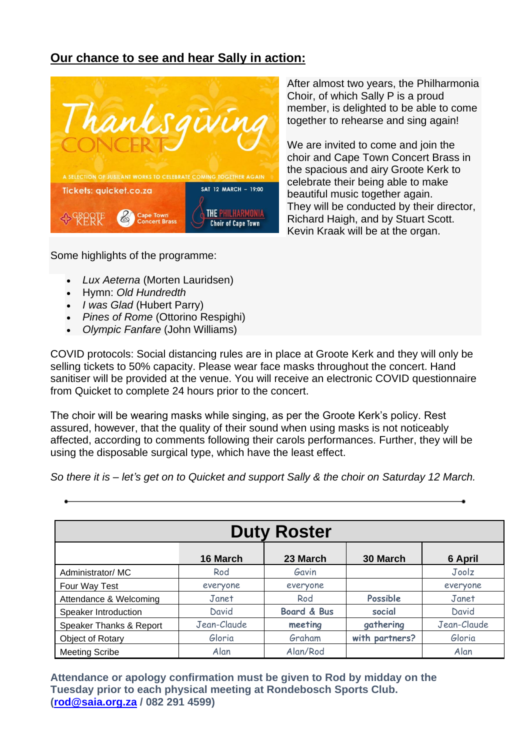# **Our chance to see and hear Sally in action:**



Some highlights of the programme:

After almost two years, the Philharmonia Choir, of which Sally P is a proud member, is delighted to be able to come together to rehearse and sing again!

We are invited to come and join the choir and Cape Town Concert Brass in the spacious and airy Groote Kerk to celebrate their being able to make beautiful music together again. They will be conducted by their director, Richard Haigh, and by Stuart Scott. Kevin Kraak will be at the organ.

- *Lux Aeterna* (Morten Lauridsen)
- Hymn: *Old Hundredth*
- *I was Glad* (Hubert Parry)
- *Pines of Rome* (Ottorino Respighi)
- *Olympic Fanfare* (John Williams)

COVID protocols: Social distancing rules are in place at Groote Kerk and they will only be selling tickets to 50% capacity. Please wear face masks throughout the concert. Hand sanitiser will be provided at the venue. You will receive an electronic COVID questionnaire from Quicket to complete 24 hours prior to the concert.

The choir will be wearing masks while singing, as per the Groote Kerk's policy. Rest assured, however, that the quality of their sound when using masks is not noticeably affected, according to comments following their carols performances. Further, they will be using the disposable surgical type, which have the least effect.

*So there it is – let's get on to Quicket and support Sally & the choir on Saturday 12 March.*

| <b>Duty Roster</b>      |             |                        |                |             |  |  |
|-------------------------|-------------|------------------------|----------------|-------------|--|--|
|                         | 16 March    | 23 March               | 30 March       | 6 April     |  |  |
| Administrator/MC        | Rod         | Gavin                  |                | Joolz       |  |  |
| Four Way Test           | everyone    | everyone               |                | everyone    |  |  |
| Attendance & Welcoming  | Janet       | Rod                    | Possible       | Janet       |  |  |
| Speaker Introduction    | David       | <b>Board &amp; Bus</b> | social         | David       |  |  |
| Speaker Thanks & Report | Jean-Claude | meeting                | gathering      | Jean-Claude |  |  |
| Object of Rotary        | Gloria      | Graham                 | with partners? | Gloria      |  |  |
| <b>Meeting Scribe</b>   | Alan        | Alan/Rod               |                | Alan        |  |  |

**Attendance or apology confirmation must be given to Rod by midday on the Tuesday prior to each physical meeting at Rondebosch Sports Club. [\(rod@saia.org.za](mailto:rod@saia.org.za) / 082 291 4599)**